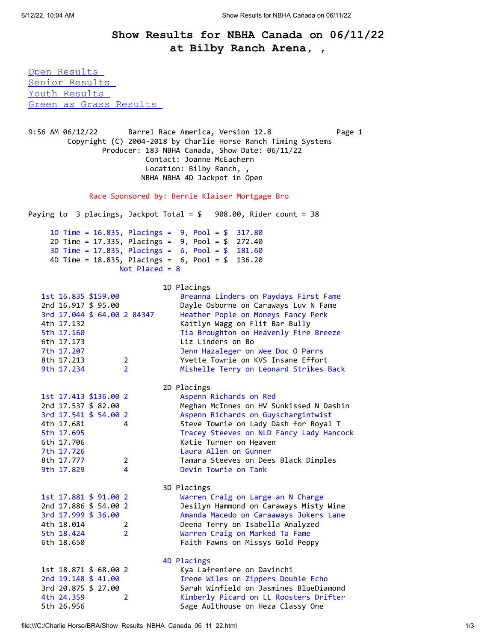## **Show Results for NBHA Canada on 06/11/22 at Bilby Ranch Arena, ,**

<span id="page-0-0"></span>[Open Results](#page-0-0)  [Senior Results](#page-1-0)  Youth Results [Green as Grass Results](#page-2-0) 

9:56 AM 06/12/22 Barrel Race America, Version 12.8 Page 1 Copyright (C) 2004-2018 by Charlie Horse Ranch Timing Systems Producer: 183 NBHA Canada, Show Date: 06/11/22 Contact: Joanne McEachern Location: Bilby Ranch, , NBHA NBHA 4D Jackpot in Open Race Sponsored by: Bernie Klaiser Mortgage Bro Paying to 3 placings, Jackpot Total = \$ 908.00, Rider count = 38 1D Time = 16.835, Placings = 9, Pool = \$ 317.80 2D Time = 17.335, Placings = 9, Pool = \$ 272.40 3D Time = 17.835, Placings = 6, Pool = \$ 181.60 4D Time = 18.835, Placings = 6, Pool = \$ 136.20 Not Placed = 8 1D Placings 1st 16.835 \$159.00 Breanna Linders on Paydays First Fame 2nd 16.917 \$ 95.00 Dayle Osborne on Caraways Luv N Fame 3rd 17.044 \$ 64.00 2 84347 Heather Pople on Moneys Fancy Perk 4th 17.132 Kaitlyn Wagg on Flit Bar Bully 5th 17.160 Tia Broughton on Heavenly Fire Breeze 6th 17.173 Liz Linders on Bo 7th 17.207 Jenn Hazaleger on Wee Doc O Parrs 8th 17.213 2 Yvette Towrie on KVS Insane Effort 9th 17.234 2 Mishelle Terry on Leonard Strikes Back 2D Placings 1st 17.413 \$136.00 2 Aspenn Richards on Red 2nd 17.537 \$ 82.00 Meghan McInnes on HV Sunkissed N Dashin 3rd 17.541 \$ 54.00 2 Aspenn Richards on Guyschargintwist 4th 17.681 4 Steve Towrie on Lady Dash for Royal T 5th 17.695 Tracey Steeves on NLD Fancy Lady Hancock 6th 17.706 Katie Turner on Heaven 7th 17.726 Laura Allen on Gunner 8th 17.777 2 Tamara Steeves on Dees Black Dimples 9th 17.829 4 Devin Towrie on Tank 3D Placings 1st 17.881 \$ 91.00 2 Warren Craig on Large an N Charge 2nd 17.886 \$ 54.00 2 Jesilyn Hammond on Caraways Misty Wine 3rd 17.999 \$ 36.00 Amanda Macedo on Caraaways Jokers Lane 4th 18.014 2 Deena Terry on Isabella Analyzed 5th 18.424 2 Warren Craig on Marked Ta Fame 6th 18.650 Faith Fawns on Missys Gold Peppy 4D Placings 1st 18.871 \$ 68.00 2 Kya Lafreniere on Davinchi 2nd 19.148 \$ 41.00 Irene Wiles on Zippers Double Echo 3rd 20.875 \$ 27.00 Sarah Winfield on Jasmines BlueDiamond 2 Kimberly Picard on LL Roosters Drifter 5th 26.956 Sage Aulthouse on Heza Classy One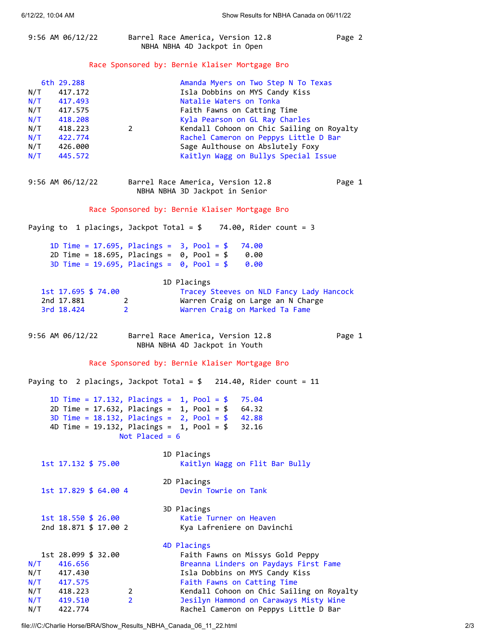<span id="page-1-0"></span>

| 9:56 AM 06/12/22                                                                                                                                  | Barrel Race America, Version 12.8<br>NBHA NBHA 4D Jackpot in Open                                                                                                                                                                                                                                                                                 | Page 2 |
|---------------------------------------------------------------------------------------------------------------------------------------------------|---------------------------------------------------------------------------------------------------------------------------------------------------------------------------------------------------------------------------------------------------------------------------------------------------------------------------------------------------|--------|
| Race Sponsored by: Bernie Klaiser Mortgage Bro                                                                                                    |                                                                                                                                                                                                                                                                                                                                                   |        |
| 6th 29.288<br>N/T<br>417.172<br>N/T<br>417,493<br>N/T<br>417.575<br>$N/T$ 418.208<br>$N/T$ 418.223<br>N/T 422.774<br>N/T 426.000<br>$N/T$ 445.572 | Amanda Myers on Two Step N To Texas<br>Isla Dobbins on MYS Candy Kiss<br>Natalie Waters on Tonka<br>Faith Fawns on Catting Time<br>Kyla Pearson on GL Ray Charles<br>Kendall Cohoon on Chic Sailing on Royalty<br>$2^{\sim}$<br>Rachel Cameron on Peppys Little D Bar<br>Sage Aulthouse on Abslutely Foxy<br>Kaitlyn Wagg on Bullys Special Issue |        |
| 9:56 AM 06/12/22                                                                                                                                  | Barrel Race America, Version 12.8<br>NBHA NBHA 3D Jackpot in Senior                                                                                                                                                                                                                                                                               | Page 1 |
| Race Sponsored by: Bernie Klaiser Mortgage Bro                                                                                                    |                                                                                                                                                                                                                                                                                                                                                   |        |
| Paying to 1 placings, Jackpot Total = $$$ 74.00, Rider count = 3                                                                                  |                                                                                                                                                                                                                                                                                                                                                   |        |
|                                                                                                                                                   | 1D Time = 17.695, Placings = $3$ , Pool = \$<br>74.00<br>2D Time = $18.695$ , Placings = $0$ , Pool = \$ 0.00<br>3D Time = 19.695, Placings = $0, Pool = $ 0.00$                                                                                                                                                                                  |        |
| 1st 17.695 \$ 74.00<br>2nd 17.881<br>$\overline{2}$<br>3rd 18.424                                                                                 | 1D Placings<br>Tracey Steeves on NLD Fancy Lady Hancock<br>Warren Craig on Large an N Charge<br>$2^{\circ}$<br>Warren Craig on Marked Ta Fame                                                                                                                                                                                                     |        |
| 9:56 AM 06/12/22                                                                                                                                  | Barrel Race America, Version 12.8<br>NBHA NBHA 4D Jackpot in Youth                                                                                                                                                                                                                                                                                | Page 1 |
| Race Sponsored by: Bernie Klaiser Mortgage Bro                                                                                                    |                                                                                                                                                                                                                                                                                                                                                   |        |
| Paying to 2 placings, Jackpot Total = $$$<br>$214.40$ , Rider count = 11                                                                          |                                                                                                                                                                                                                                                                                                                                                   |        |
|                                                                                                                                                   | 1D Time = $17.132$ , Placings = $1$ , Pool = \$<br>75.04<br>2D Time = $17.632$ , Placings = $1$ , Pool = \$<br>64.32<br>3D Time = $18.132$ , Placings = $2$ , Pool = \$<br>42.88<br>4D Time = $19.132$ , Placings = $1$ , Pool = \$<br>32.16<br>Not Placed = $6$                                                                                  |        |
| 1st 17.132 \$ 75.00                                                                                                                               | 1D Placings<br>Kaitlyn Wagg on Flit Bar Bully                                                                                                                                                                                                                                                                                                     |        |
| 1st 17.829 \$ 64.00 4                                                                                                                             | 2D Placings<br>Devin Towrie on Tank                                                                                                                                                                                                                                                                                                               |        |
| 1st 18.550 \$ 26.00<br>2nd 18.871 \$ 17.00 2                                                                                                      | 3D Placings<br>Katie Turner on Heaven<br>Kya Lafreniere on Davinchi                                                                                                                                                                                                                                                                               |        |
| 1st 28.099 \$ 32.00<br>N/T<br>416.656<br>N/T<br>417.430<br>N/T<br>417.575<br>$N/T$ 418.223<br>N/T<br>419.510                                      | 4D Placings<br>Faith Fawns on Missys Gold Peppy<br>Breanna Linders on Paydays First Fame<br>Isla Dobbins on MYS Candy Kiss<br>Faith Fawns on Catting Time<br>Kendall Cohoon on Chic Sailing on Royalty<br>2<br>$\overline{2}$<br>Jesilyn Hammond on Caraways Misty Wine                                                                           |        |

<span id="page-1-1"></span>N/T 422.774 Rachel Cameron on Peppys Little D Bar